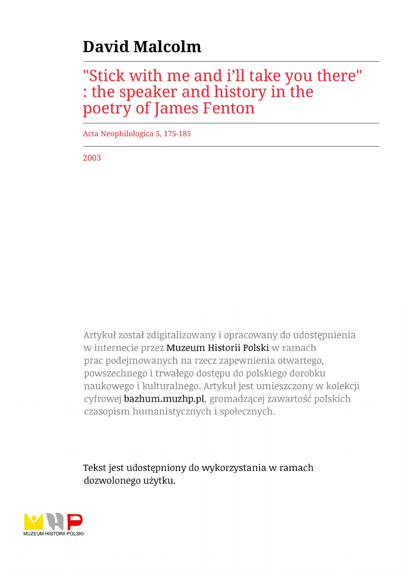## **David Malcolm**

## "Stick with me and i'll take you there" : the speaker and history in the poetry of James Fenton

Acta Neophilologica 5, 175-185

2003

Artykuł został zdigitalizowany i opracowany do udostępnienia w internecie przez Muzeum Historii Polski w ramach prac podejmowanych na rzecz zapewnienia otwartego, powszechnego i trwałego dostępu do polskiego dorobku naukowego i kulturalnego. Artykuł jest umieszczony w kolekcji cyfrowej bazhum.muzhp.pl, gromadzącej zawartość polskich czasopism humanistycznych i społecznych.

Tekst jest udostępniony do wykorzystania w ramach dozwolonego użytku.

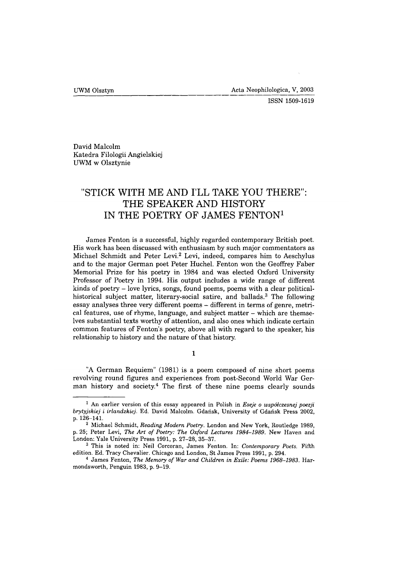**ISSN 1509-1619**

David Malcolm Katedra Filologii Angielskiej UWM w Olsztynie

## **"STICK WITH ME AND I'LL TAKE YOU THERE": THE SPEAKER AND HISTORY IN THE POETRY OF JAMES FENTON1**

James Fenton is a successful, highly regarded contemporary British poet. His work has been discussed with enthusiasm by such major commentators as Michael Schmidt and Peter Levi.<sup>2</sup> Levi, indeed, compares him to Aeschylus and to the major German poet Peter Huchel. Fenton won the Geoffrey Faber Memorial Prize for his poetry in 1984 and was elected Oxford University Professor of Poetry in 1994. His output includes a wide range of different kinds of poetry - love lyrics, songs, found poems, poems with a clear politicalhistorical subject matter, literary-social satire, and ballads.3 The following essay analyses three very different poems - different in terms of genre, metrical features, use of rhyme, language, and subject matter - which are themselves substantial texts worthy of attention, and also ones which indicate certain common features of Fenton's poetry, above all with regard to the speaker, his relationship to history and the nature of that history.

**1**

"A German Requiem" (1981) is a poem composed of nine short poems revolving round figures and experiences from post-Second World War German history and society.4 The first of these nine poems clearly sounds

**<sup>1</sup> An earlier version of this essay appeared in Polish in** *Eseje o współczesnej poezji brytyjskiej i irlandzkiej.* **Ed. David Malcolm. Gdańsk, University of Gdańsk Press 2002,** p. **126-141.**

**<sup>2</sup> Michael Schmidt,** *Reading Modern Poetry.* **London and New York, Routledge 1989, p. 25; Peter Levi,** *The Art of Poetry: The Oxford Lectures 1984-1989.* **New Haven and London: Yale University Press 1991, p. 27-28, 35-37.**

**<sup>3</sup> This is noted in: Neil Corcoran, James Fenton. In:** *Contemporary Poets.* **Fifth edition. Ed. Tracy Chevalier. Chicago and London, St James Press 1991, p. 294.**

**<sup>4</sup> James Fenton,** *The Memory of War and Children in Exile: Poems 1968-1983.* **Harmondsworth, Penguin 1983, p. 9-19.**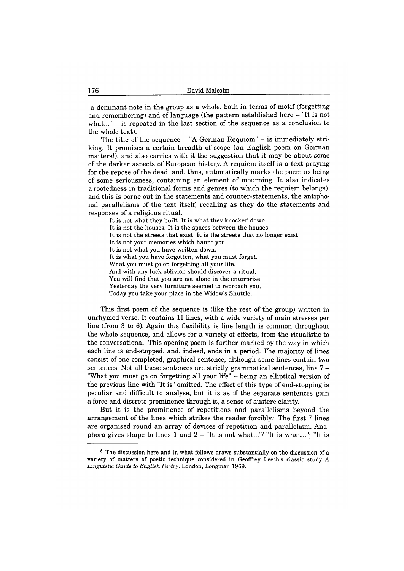a dominant note in the group as a whole, both in terms of motif (forgetting and remembering) and of language (the pattern established here - "It is not what..."  $-$  is repeated in the last section of the sequence as a conclusion to the whole text).

The title of the sequence  $-$  "A German Requiem"  $-$  is immediately striking. It promises a certain breadth of scope (an English poem on German matters!), and also carries with it the suggestion that it may be about some of the darker aspects of European history. A requiem itself is a text praying for the repose of the dead, and, thus, automatically marks the poem as being of some seriousness, containing an element of mourning. It also indicates a rootedness in traditional forms and genres (to which the requiem belongs), and this is borne out in the statements and counter-statements, the antiphonal parallelisms of the text itself, recalling as they do the statements and responses of a religious ritual.

**It is not what they built. It is what they knocked down.**

**It is not the houses. It is the spaces between the houses.**

**It is not the streets that exist. It is the streets that no longer exist.**

**It is not your memories which haunt you.**

**It is not what you have written down.**

**It is what you have forgotten, what you must forget.**

**What you must go on forgetting all your life.**

**And with any luck oblivion should discover a ritual.**

**You will find that you are not alone in the enterprise.**

**Yesterday the very furniture seemed to reproach you.**

**Today you take your place in the Widow's Shuttle.**

This first poem of the sequence is (like the rest of the group) written in unrhymed verse. It contains 11 lines, with a wide variety of main stresses per line (from 3 to 6). Again this flexibility is line length is common throughout the whole sequence, and allows for a variety of effects, from the ritualistic to the conversational. This opening poem is further marked by the way in which each line is end-stopped, and, indeed, ends in a period. The majority of lines consist of one completed, graphical sentence, although some lines contain two sentences. Not all these sentences are strictly grammatical sentences, line 7 - "What you must go on forgetting all your life" - being an elliptical version of the previous line with "It is" omitted. The effect of this type of end-stopping is peculiar and difficult to analyse, but it is as if the separate sentences gain a force and discrete prominence through it, a sense of austere clarity.

But it is the prominence of repetitions and parallelisms beyond the arrangement of the lines which strikes the reader forcibly.<sup>5</sup> The first 7 lines are organised round an array of devices of repetition and parallelism. Anaphora gives shape to lines 1 and  $2 -$  "It is not what..."/ "It is what..."; "It is

**<sup>5</sup> The discussion here and in what follows draws substantially on the discussion of a variety of matters of poetic technique considered in Geoffrey Leech's classic study** *A Linguistic Guide to English Poetry.* **London, Longman 1969.**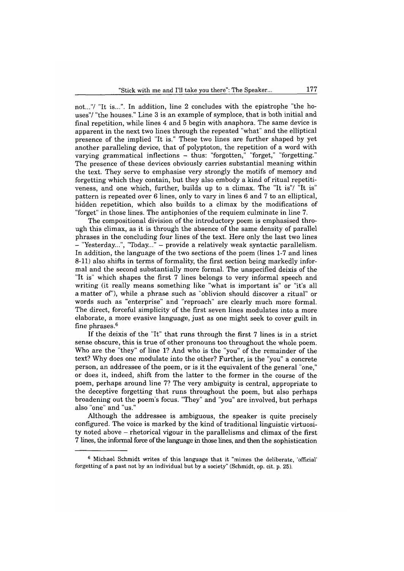not..."/ "It is...". In addition, line 2 concludes with the epistrophe "the houses"/ "the houses." Line 3 is an example of symploce, that is both initial and final repetition, while lines 4 and 5 begin with anaphora. The same device is apparent in the next two lines through the repeated "what" and the elliptical presence of the implied "It is." These two lines are further shaped by yet another paralleling device, that of polyptoton, the repetition of a word with varying grammatical inflections - thus: "forgotten," "forget," "forgetting." The presence of these devices obviously carries substantial meaning within the text. They serve to emphasise very strongly the motifs of memory and forgetting which they contain, but they also embody a kind of ritual repetitiveness, and one which, further, builds up to a climax. The "It is"/ "It is" pattern is repeated over 6 lines, only to vary in lines 6 and 7 to an elliptical, hidden repetition, which also builds to a climax by the modifications of "forget" in those lines. The antiphonies of the requiem culminate in line 7.

The compositional division of the introductory poem is emphasised through this climax, as it is through the absence of the same density of parallel phrases in the concluding four lines of the text. Here only the last two lines - "Yesterday...", "Today..." — provide a relatively weak syntactic parallelism. In addition, the language of the two sections of the poem (lines 1-7 and lines 8-11) also shifts in terms of formality, the first section being markedly informal and the second substantially more formal. The unspecified deixis of the "It is" which shapes the first 7 lines belongs to very informal speech and writing (it really means something like "what is important is" or "it's all a matter of'), while a phrase such as "oblivion should discover a ritual" or words such as "enterprise" and "reproach" are clearly much more formal. The direct, forceful simplicity of the first seven lines modulates into a more elaborate, a more evasive language, just as one might seek to cover guilt in fine phrases.6

If the deixis of the "It" that runs through the first 7 lines is in a strict sense obscure, this is true of other pronouns too throughout the whole poem. Who are the "they" of line 1? And who is the "you" of the remainder of the text? Why does one modulate into the other? Further, is the "you" a concrete person, an addressee of the poem, or is it the equivalent of the general "one," or does it, indeed, shift from the latter to the former in the course of the poem, perhaps around line 7? The very ambiguity is central, appropriate to the deceptive forgetting that runs throughout the poem, but also perhaps broadening out the poem's focus. "They" and "you" are involved, but perhaps also "one" and "us."

Although the addressee is ambiguous, the speaker is quite precisely configured. The voice is marked by the kind of traditional linguistic virtuosity noted above - rhetorical vigour in the parallelisms and climax of the first 7 lines, the informal force of the language in those lines, and then the sophistication

**<sup>6</sup> Michael Schmidt writes of this language that it "mimes the deliberate, 'official' forgetting of a past not by an individual but by a society" (Schmidt, op. cit. p. 25).**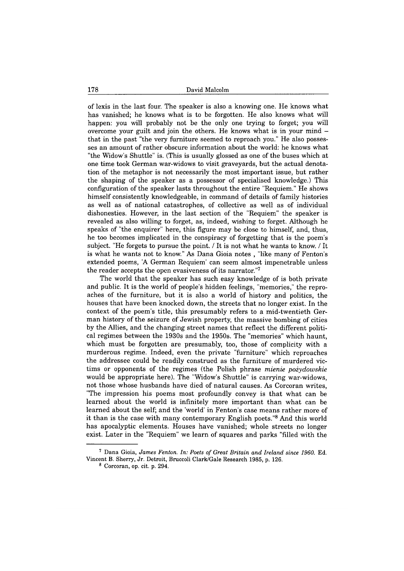of lexis in the last four. The speaker is also a knowing one. He knows what has vanished; he knows what is to be forgotten. He also knows what will happen: you will probably not be the only one trying to forget; you will overcome your guilt and join the others. He knows what is in your mind that in the past "the very furniture seemed to reproach you." He also possesses an amount of rather obscure information about the world: he knows what "the Widow's Shuttle" is. (This is usually glossed as one of the buses which at one time took German war-widows to visit graveyards, but the actual denotation of the metaphor is not necessarily the most important issue, but rather the shaping of the speaker as a possessor of specialised knowledge.) This configuration of the speaker lasts throughout the entire "Requiem." He shows himself consistently knowledgeable, in command of details of family histories as well as of national catastrophes, of collective as well as of individual dishonesties. However, in the last section of the "Requiem" the speaker is revealed as also willing to forget, as, indeed, wishing to forget. Although he speaks of "the enquirer" here, this figure may be close to himself, and, thus, he too becomes implicated in the conspiracy of forgetting that is the poem's subject. "He forgets to pursue the point. / It is not what he wants to know. / It is what he wants not to know." As Dana Gioia notes , "like many of Fenton's extended poems, 'A German Requiem' can seem almost impenetrable unless the reader accepts the open evasiveness of its narrator."7

The world that the speaker has such easy knowledge of is both private and public. It is the world of people's hidden feelings, "memories," the reproaches of the furniture, but it is also a world of history and politics, the houses that have been knocked down, the streets that no longer exist. In the context of the poem's title, this presumably refers to a mid-twentieth German history of the seizure of Jewish property, the massive bombing of cities by the Allies, and the changing street names that reflect the different political regimes between the 1930s and the 1950s. The "memories" which haunt, which must be forgotten are presumably, too, those of complicity with a murderous regime. Indeed, even the private "furniture" which reproaches the addressee could be readily construed as the furniture of murdered victims or opponents of the regimes (the Polish phrase *mienie pożydowskie* would be appropriate here). The "Widow's Shuttle" is carrying war-widows, not those whose husbands have died of natural causes. As Corcoran writes, "The impression his poems most profoundly convey is that what can be learned about the world is infinitely more important than what can be learned about the self; and the 'world' in Fenton's case means rather more of it than is the case with many contemporary English poets."8 And this world has apocalyptic elements. Houses have vanished; whole streets no longer exist. Later in the "Requiem" we learn of squares and parks "filled with the

**<sup>7</sup> Dana Gioia,** *James Fenton. In: Poets of Great Britain and Ireland since 1960.* **Ed. Vincent B. Sherry, Jr. Detroit, Bruccoli Clark/Gale Research 1985, p. 126.**

**<sup>8</sup> Corcoran, op. cit. p. 294.**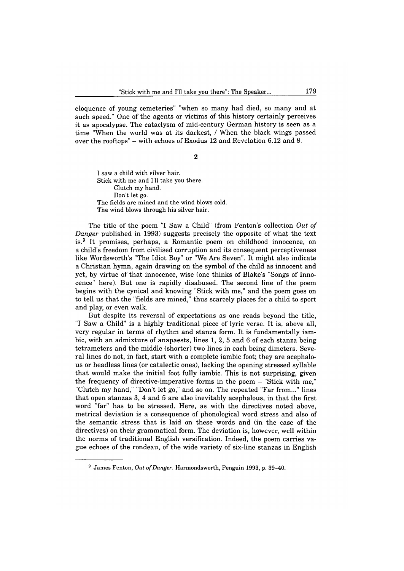eloquence of young cemeteries" "when so many had died, so many and at such speed." One of the agents or victims of this history certainly perceives it as apocalypse. The cataclysm of mid-century German history is seen as a time "When the world was at its darkest, / When the black wings passed over the rooftops" - with echoes of Exodus 12 and Revelation 6.12 and 8.

**2**

**I saw a child with silver hair. Stick with me and I'll take you there. Clutch my hand. Don't let go. The fields are mined and the wind blows cold. The wind blows through his silver hair.**

The title of the poem "I Saw a Child" (from Fenton's collection *Out of Danger* published in 1993) suggests precisely the opposite of what the text is.9 It promises, perhaps, a Romantic poem on childhood innocence, on a child's freedom from civilised corruption and its consequent perceptiveness like Wordsworth's "The Idiot Boy" or "We Are Seven". It might also indicate a Christian hymn, again drawing on the symbol of the child as innocent and yet, by virtue of that innocence, wise (one thinks of Blake's "Songs of Innocence" here). But one is rapidly disabused. The second line of the poem begins with the cynical and knowing "Stick with me," and the poem goes on to tell us that the "fields are mined," thus scarcely places for a child to sport and play, or even walk.

But despite its reversal of expectations as one reads beyond the title, "I Saw a Child" is a highly traditional piece of lyric verse. It is, above all, very regular in terms of rhythm and stanza form. It is fundamentally iambic, with an admixture of anapaests, lines 1, 2, 5 and 6 of each stanza being tetrameters and the middle (shorter) two lines in each being dimeters. Several lines do not, in fact, start with a complete iambic foot; they are acephalous or headless lines (or catalectic ones), lacking the opening stressed syllable that would make the initial foot fully iambic. This is not surprising, given the frequency of directive-imperative forms in the poem - "Stick with me," "Clutch my hand," "Don't let go," and so on. The repeated "Far from..." lines that open stanzas 3, 4 and 5 are also inevitably acephalous, in that the first word "far" has to be stressed. Here, as with the directives noted above, metrical deviation is a consequence of phonological word stress and also of the semantic stress that is laid on these words and (in the case of the directives) on their grammatical form. The deviation is, however, well within the norms of traditional English versification. Indeed, the poem carries vague echoes of the rondeau, of the wide variety of six-line stanzas in English

**<sup>9</sup> James Fenton,** *Out of Danger.* **Harmondsworth, Penguin 1993, p. 39-40.**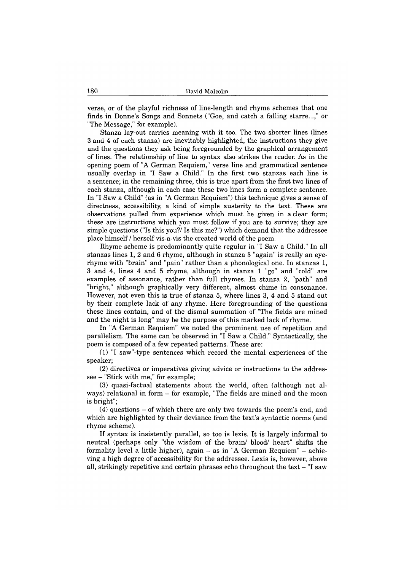verse, or of the playful richness of line-length and rhyme schemes that one finds in Donne's Songs and Sonnets ("Goe, and catch a falling starre...," or "The Message," for example).

Stanza lay-out carries meaning with it too. The two shorter lines (lines 3 and 4 of each stanza) are inevitably highlighted, the instructions they give and the questions they ask being foregrounded by the graphical arrangement of lines. The relationship of line to syntax also strikes the reader. As in the opening poem of "A German Requiem," verse line and grammatical sentence usually overlap in "I Saw a Child." In the first two stanzas each line is a sentence; in the remaining three, this is true apart from the first two lines of each stanza, although in each case these two lines form a complete sentence. In "I Saw a Child" (as in "A German Requiem") this technique gives a sense of directness, accessibility, a kind of simple austerity to the text. These are observations pulled from experience which must be given in a clear form; these are instructions which you must follow if you are to survive; they are simple questions ("Is this you?/ Is this me?") which demand that the addressee place himself / herself vis-a-vis the created world of the poem.

Rhyme scheme is predominantly quite regular in "I Saw a Child." In all stanzas lines 1, 2 and 6 rhyme, although in stanza 3 "again" is really an eyerhyme with "brain" and "pain" rather than a phonological one. In stanzas 1, 3 and 4, lines 4 and 5 rhyme, although in stanza 1 "go" and "cold" are examples of assonance, rather than full rhymes. In stanza 2, "path" and "bright," although graphically very different, almost chime in consonance. However, not even this is true of stanza 5, where lines 3, 4 and 5 stand out by their complete lack of any rhyme. Here foregrounding of the questions these lines contain, and of the dismal summation of "The fields are mined and the night is long" may be the purpose of this marked lack of rhyme.

In "A German Requiem" we noted the prominent use of repetition and parallelism. The same can be observed in "I Saw a Child." Syntactically, the poem is composed of a few repeated patterns. These are:

(1) "I saw"-type sentences which record the mental experiences of the speaker;

(2) directives or imperatives giving advice or instructions to the addressee - "Stick with me," for example;

(3) quasi-factual statements about the world, often (although not always) relational in form  $-$  for example, "The fields are mined and the moon is bright";

(4) questions — of which there are only two towards the poem's end, and which are highlighted by their deviance from the text's syntactic norms (and rhyme scheme).

If syntax is insistently parallel, so too is lexis. It is largely informal to neutral (perhaps only "the wisdom of the brain/ blood/ heart" shifts the formality level a little higher), again  $-$  as in "A German Requiem"  $-$  achieving a high degree of accessibility for the addressee. Lexis is, however, above all, strikingly repetitive and certain phrases echo throughout the text  $-$  "I saw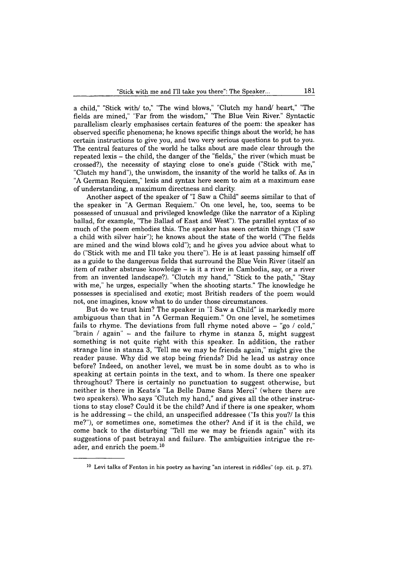a child," "Stick with/ to," "The wind blows," "Clutch my hand/ heart," "The fields are mined," "Far from the wisdom," "The Blue Vein River." Syntactic parallelism clearly emphasises certain features of the poem: the speaker has observed specific phenomena; he knows specific things about the world; he has certain instructions to give you, and two very serious questions to put to you. The central features of the world he talks about are made clear through the repeated lexis - the child, the danger of the "fields," the river (which must be crossed?), the necessity of staying close to one's guide ("Stick with me," "Clutch my hand"), the unwisdom, the insanity of the world he talks of. As in "A German Requiem," lexis and syntax here seem to aim at a maximum ease of understanding, a maximum directness and clarity.

Another aspect of the speaker of "I Saw a Child" seems similar to that of the speaker in "A German Requiem." On one level, he, too, seems to be possessed of unusual and privileged knowledge (like the narrator of a Kipling ballad, for example, "The Ballad of East and West"). The parallel syntax of so much of the poem embodies this. The speaker has seen certain things ("I saw a child with silver hair"); he knows about the state of the world ("The fields are mined and the wind blows cold"); and he gives you advice about what to do ("Stick with me and I'll take you there"). He is at least passing himself off as a guide to the dangerous fields that surround the Blue Vein River (itself an item of rather abstruse knowledge - is it a river in Cambodia, say, or a river from an invented landscape?). "Clutch my hand," "Stick to the path," "Stay with me," he urges, especially "when the shooting starts." The knowledge he possesses is specialised and exotic; most British readers of the poem would not, one imagines, know what to do under those circumstances.

But do we trust him? The speaker in "I Saw a Child" is markedly more ambiguous than that in "A German Requiem." On one level, he sometimes fails to rhyme. The deviations from full rhyme noted above — "go / cold," "brain  $\ell$  again" – and the failure to rhyme in stanza 5, might suggest something is not quite right with this speaker. In addition, the rather strange line in stanza 3, "Tell me we may be friends again," might give the reader pause. Why did we stop being friends? Did he lead us astray once before? Indeed, on another level, we must be in some doubt as to who is speaking at certain points in the text, and to whom. Is there one speaker throughout? There is certainly no punctuation to suggest otherwise, but neither is there in Keats's "La Belle Dame Sans Merci" (where there are two speakers). Who says "Clutch my hand," and gives all the other instructions to stay close? Could it be the child? And if there is one speaker, whom is he addressing  $-$  the child, an unspecified addressee ("Is this you? Is this me?"), or sometimes one, sometimes the other? And if it is the child, we come back to the disturbing "Tell me we may be friends again" with its suggestions of past betrayal and failure. The ambiguities intrigue the reader, and enrich the poem.<sup>10</sup>

**<sup>10</sup> Levi talks of Fenton in his poetry as having "an interest in riddles" (op. cit. p. 27).**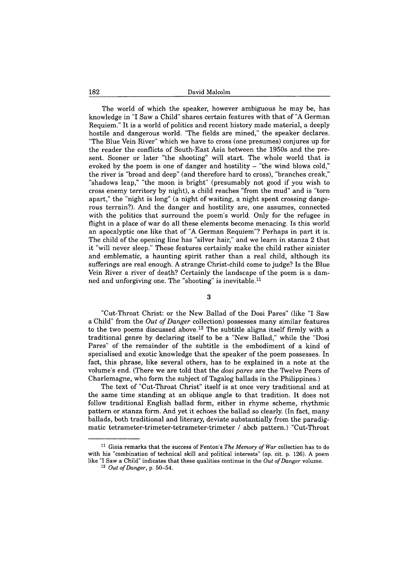The world of which the speaker, however ambiguous he may be, has knowledge in "I Saw a Child" shares certain features with that of "A German Requiem." It is a world of politics and recent history made material, a deeply hostile and dangerous world. "The fields are mined," the speaker declares. "The Blue Vein River" which we have to cross (one presumes) conjures up for the reader the conflicts of South-East Asia between the 1950s and the present. Sooner or later "the shooting" will start. The whole world that is evoked by the poem is one of danger and hostility – "the wind blows cold," the river is "broad and deep" (and therefore hard to cross), "branches creak," "shadows leap," "the moon is bright" (presumably not good if you wish to cross enemy territory by night), a child reaches "from the mud" and is "torn apart," the "night is long" (a night of waiting, a night spent crossing dangerous terrain?). And the danger and hostility are, one assumes, connected with the politics that surround the poem's world. Only for the refugee in flight in a place of war do all these elements become menacing. Is this world an apocalyptic one like that of "A German Requiem"? Perhaps in part it is. The child of the opening line has "silver hair," and we learn in stanza 2 that it "will never sleep." These features certainly make the child rather sinister and emblematic, a haunting spirit rather than a real child, although its sufferings are real enough. A strange Christ-child come to judge? Is the Blue Vein River a river of death? Certainly the landscape of the poem is a damned and unforgiving one. The "shooting" is inevitable.<sup>11</sup>

## 3

"Cut-Throat Christ: or the New Ballad of the Dosi Pares" (like "I Saw a Child" from the *Out of Danger* collection) possesses many similar features to the two poems discussed above.<sup>12</sup> The subtitle aligns itself firmly with a traditional genre by declaring itself to be a "New Ballad," while the "Dosi Pares" of the remainder of the subtitle is the embodiment of a kind of specialised and exotic knowledge that the speaker of the poem possesses. In fact, this phrase, like several others, has to be explained in a note at the volume's end. (There we are told that the *dosi pares* are the Twelve Peers of Charlemagne, who form the subject of Tagalog ballads in the Philippines.)

The text of "Cut-Throat Christ" itself is at once very traditional and at the same time standing at an oblique angle to that tradition. It does not follow traditional English ballad form, either in rhyme scheme, rhythmic pattern or stanza form. And yet it echoes the ballad so clearly. (In fact, many ballads, both traditional and literary, deviate substantially from the paradigmatic tetrameter-trimeter-tetrameter-trimeter / abcb pattern.) "Cut-Throat

**<sup>11</sup> Gioia remarks that the success of Fenton's** *The Memory of War* **collection has to do with his "combination of technical skill and political interests" (op. cit. p. 126). A poem like "I Saw a Child" indicates that these qualities continue in the** *Out of Danger* **volume.**

**<sup>12</sup>** *Out of Danger,* **p. 50-54.**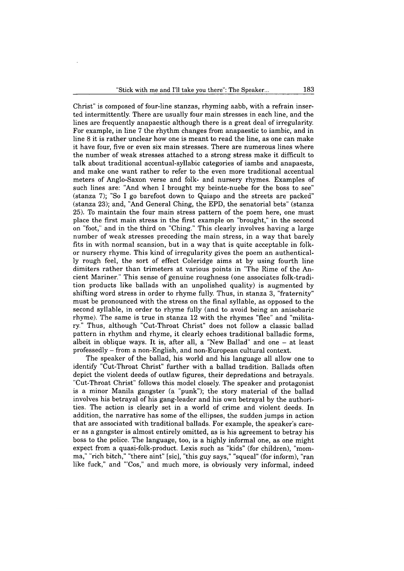Christ" is composed of four-line stanzas, rhyming aabb, with a refrain inserted intermittently. There are usually four main stresses in each line, and the lines are frequently anapaestic although there is a great deal of irregularity. For example, in line 7 the rhythm changes from anapaestic to iambic, and in line 8 it is rather unclear how one is meant to read the line, as one can make it have four, five or even six main stresses. There are numerous lines where the number of weak stresses attached to a strong stress make it difficult to talk about traditional accentual-syllabic categories of iambs and anapaests, and make one want rather to refer to the even more traditional accentual meters of Anglo-Saxon verse and folk- and nursery rhymes. Examples of such lines are: "And when I brought my beinte-nuebe for the boss to see" (stanza 7); "So I go barefoot down to Quiapo and the streets are packed" (stanza 23); and, "And General Ching, the EPD, the senatorial bets" (stanza 25). To maintain the four main stress pattern of the poem here, one must place the first main stress in the first example on "brought," in the second on "foot," and in the third on "Ching." This clearly involves having a large number of weak stresses preceding the main stress, in a way that barely fits in with normal scansion, but in a way that is quite acceptable in folkor nursery rhyme. This kind of irregularity gives the poem an authentically rough feel, the sort of effect Coleridge aims at by using fourth line dimiters rather than trimeters at various points in "The Rime of the Ancient Mariner." This sense of genuine roughness (one associates folk-tradition products like ballads with an unpolished quality) is augmented by shifting word stress in order to rhyme fully. Thus, in stanza 3, "fraternity" must be pronounced with the stress on the final syllable, as opposed to the second syllable, in order to rhyme fully (and to avoid being an anisobaric rhyme). The same is true in stanza 12 with the rhymes "flee" and "military." Thus, although "Cut-Throat Christ" does not follow a classic ballad pattern in rhythm and rhyme, it clearly echoes traditional balladic forms, albeit in oblique ways. It is, after all, a "New Ballad" and one - at least professedly - from a non-English, and non-European cultural context.

The speaker of the ballad, his world and his language all allow one to identify "Cut-Throat Christ" further with a ballad tradition. Ballads often depict the violent deeds of outlaw figures, their depredations and betrayals. "Cut-Throat Christ" follows this model closely. The speaker and protagonist is a minor Manila gangster (a "punk"); the story material of the ballad involves his betrayal of his gang-leader and his own betrayal by the authorities. The action is clearly set in a world of crime and violent deeds. In addition, the narrative has some of the ellipses, the sudden jumps in action that are associated with traditional ballads. For example, the speaker's career as a gangster is almost entirely omitted, as is his agreement to betray his boss to the police. The language, too, is a highly informal one, as one might expect from a quasi-folk-product. Lexis such as "kids" (for children), "momma," "rich bitch," "there aint" [sic], "this guy says," "squeal" (for inform), "ran like fuck," and '"Cos," and much more, is obviously very informal, indeed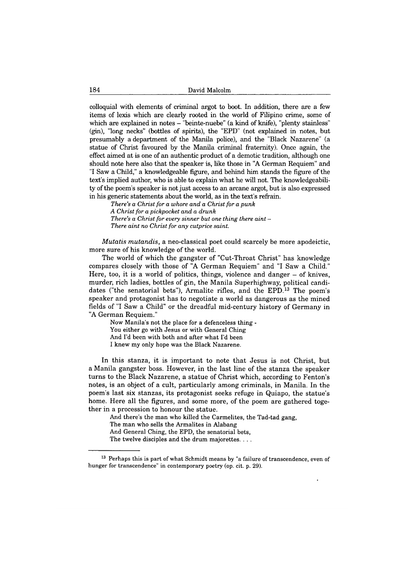colloquial with elements of criminal argot to boot. In addition, there are a few items of lexis which are clearly rooted in the world of Filipino crime, some of which are explained in notes - "beinte-nuebe" (a kind of knife), "plenty stainless" (gin), "long necks" (bottles of spirits), the "EPD" (not explained in notes, but presumably a department of the Manila police), and the "Black Nazarene" (a statue of Christ favoured by the Manila criminal fraternity). Once again, the effect aimed at is one of an authentic product of a demotic tradition, although one should note here also that the speaker is, like those in "A German Requiem" and "I Saw a Child," a knowledgeable figure, and behind him stands the figure of the text's implied author, who is able to explain what he will not. The knowledgeability of the poem's speaker is not just access to an arcane argot, but is also expressed in his generic statements about the world, as in the text's refrain.

*There's a Christ for a whore and a Christ for a punk A Christ for a pickpocket and a drunk There's a Christ for every sinner but one thing there aint - There aint no Christ for any cutprice saint.*

*Mutatis mutandis,* a neo-classical poet could scarcely be more apodeictic, more sure of his knowledge of the world.

The world of which the gangster of "Cut-Throat Christ" has knowledge compares closely with those of "A German Requiem" and "I Saw a Child." Here, too, it is a world of politics, things, violence and danger  $-$  of knives, murder, rich ladies, bottles of gin, the Manila Superhighway, political candidates ("the senatorial bets"), Armalite rifles, and the EPD.13 The poem's speaker and protagonist has to negotiate a world as dangerous as the mined fields of "I Saw a Child" or the dreadful mid-century history of Germany in "A German Requiem."

**Now Manila's not the place for a defenceless thing - You either go with Jesus or with General Ching And I'd been with both and after what I'd been I knew my only hope was the Black Nazarene.**

In this stanza, it is important to note that Jesus is not Christ, but a Manila gangster boss. However, in the last line of the stanza the speaker turns to the Black Nazarene, a statue of Christ which, according to Fenton's notes, is an object of a cult, particularly among criminals, in Manila. In the poem's last six stanzas, its protagonist seeks refuge in Quiapo, the statue's home. Here all the figures, and some more, of the poem are gathered together in a procession to honour the statue.

**And there's the man who killed the Carmelites, the Tad-tad gang, The man who sells the Armalites in Alabang And General Ching, the EPD, the senatorial bets, The twelve disciples and the drum majorettes. . . .**

**<sup>13</sup> Perhaps this is part of what Schmidt means by "a failure of transcendence, even of hunger for transcendence" in contemporary poetry (op. cit. p. 29).**